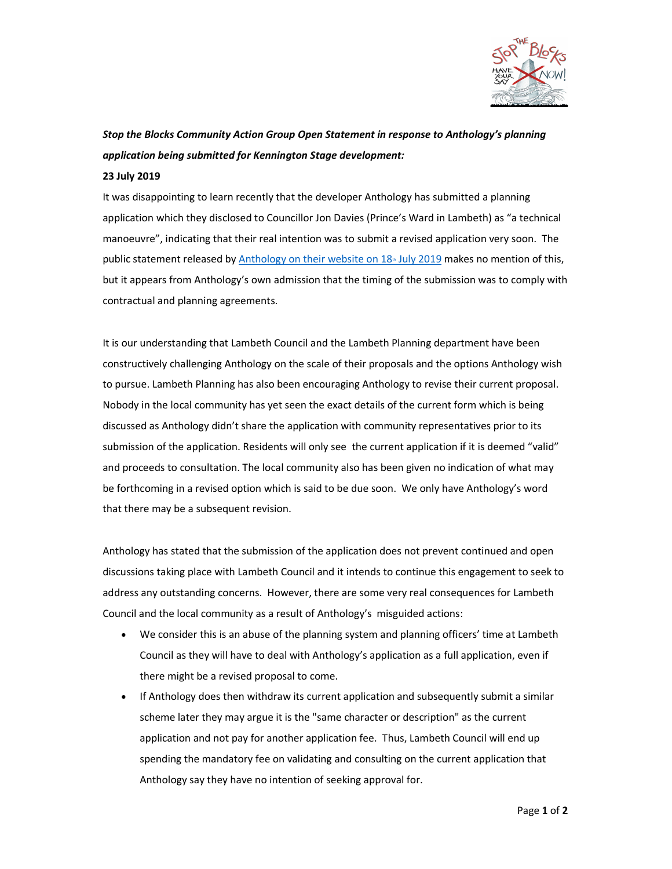

## Stop the Blocks Community Action Group Open Statement in response to Anthology's planning application being submitted for Kennington Stage development:

## 23 July 2019

It was disappointing to learn recently that the developer Anthology has submitted a planning application which they disclosed to Councillor Jon Davies (Prince's Ward in Lambeth) as "a technical manoeuvre", indicating that their real intention was to submit a revised application very soon. The public statement released by Anthology on their website on 18<sup>th</sup> July 2019 makes no mention of this, but it appears from Anthology's own admission that the timing of the submission was to comply with contractual and planning agreements.

It is our understanding that Lambeth Council and the Lambeth Planning department have been constructively challenging Anthology on the scale of their proposals and the options Anthology wish to pursue. Lambeth Planning has also been encouraging Anthology to revise their current proposal. Nobody in the local community has yet seen the exact details of the current form which is being discussed as Anthology didn't share the application with community representatives prior to its submission of the application. Residents will only see the current application if it is deemed "valid" and proceeds to consultation. The local community also has been given no indication of what may be forthcoming in a revised option which is said to be due soon. We only have Anthology's word that there may be a subsequent revision.

Anthology has stated that the submission of the application does not prevent continued and open discussions taking place with Lambeth Council and it intends to continue this engagement to seek to address any outstanding concerns. However, there are some very real consequences for Lambeth Council and the local community as a result of Anthology's misguided actions:

- We consider this is an abuse of the planning system and planning officers' time at Lambeth Council as they will have to deal with Anthology's application as a full application, even if there might be a revised proposal to come.
- If Anthology does then withdraw its current application and subsequently submit a similar scheme later they may argue it is the "same character or description" as the current application and not pay for another application fee. Thus, Lambeth Council will end up spending the mandatory fee on validating and consulting on the current application that Anthology say they have no intention of seeking approval for.